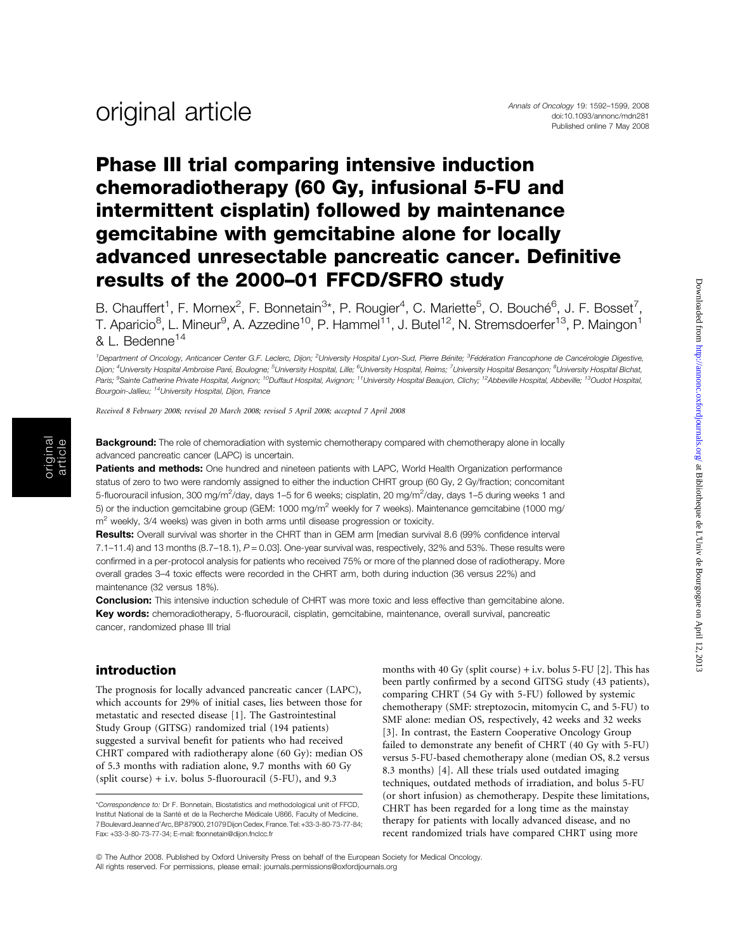## Phase III trial comparing intensive induction chemoradiotherapy (60 Gy, infusional 5-FU and intermittent cisplatin) followed by maintenance gemcitabine with gemcitabine alone for locally advanced unresectable pancreatic cancer. Definitive results of the 2000–01 FFCD/SFRO study

B. Chauffert<sup>1</sup>, F. Mornex<sup>2</sup>, F. Bonnetain<sup>3\*</sup>, P. Rougier<sup>4</sup>, C. Mariette<sup>5</sup>, O. Bouché<sup>6</sup>, J. F. Bosset<sup>7</sup>, T. Aparicio<sup>8</sup>, L. Mineur<sup>9</sup>, A. Azzedine<sup>10</sup>, P. Hammel<sup>11</sup>, J. Butel<sup>12</sup>, N. Stremsdoerfer<sup>13</sup>, P. Maingon<sup>1</sup> & L. Bedenne<sup>14</sup>

<sup>1</sup> Department of Oncology, Anticancer Center G.F. Leclerc, Dijon; <sup>2</sup>University Hospital Lyon-Sud, Pierre Bénite; <sup>3</sup>Fédération Francophone de Cancérologie Digestive, Dijon; <sup>4</sup>University Hospital Ambroise Paré, Boulogne; <sup>5</sup>University Hospital, Lille; <sup>6</sup>University Hospital, Reims; <sup>7</sup>University Hospital Besançon; <sup>8</sup>University Hospital Bichat, Paris; <sup>9</sup>Sainte Catherine Private Hospital, Avignon; <sup>10</sup>Duffaut Hospital, Avignon; <sup>11</sup>University Hospital Beaujon, Clichy; <sup>12</sup>Abbeville Hospital, Abbeville; <sup>13</sup>Oudot Hospital, Bourgoin-Jallieu; 14University Hospital, Dijon, France

Received 8 February 2008; revised 20 March 2008; revised 5 April 2008; accepted 7 April 2008

Background: The role of chemoradiation with systemic chemotherapy compared with chemotherapy alone in locally advanced pancreatic cancer (LAPC) is uncertain.

Patients and methods: One hundred and nineteen patients with LAPC, World Health Organization performance status of zero to two were randomly assigned to either the induction CHRT group (60 Gy, 2 Gy/fraction; concomitant 5-fluorouracil infusion, 300 mg/m<sup>2</sup>/day, days 1–5 for 6 weeks; cisplatin, 20 mg/m<sup>2</sup>/day, days 1–5 during weeks 1 and 5) or the induction gemcitabine group (GEM: 1000 mg/m<sup>2</sup> weekly for 7 weeks). Maintenance gemcitabine (1000 mg/  $m<sup>2</sup>$  weekly, 3/4 weeks) was given in both arms until disease progression or toxicity.

Results: Overall survival was shorter in the CHRT than in GEM arm [median survival 8.6 (99% confidence interval  $7.1-11.4$ ) and 13 months  $(8.7-18.1)$ ,  $P = 0.03$ . One-year survival was, respectively, 32% and 53%. These results were confirmed in a per-protocol analysis for patients who received 75% or more of the planned dose of radiotherapy. More overall grades 3–4 toxic effects were recorded in the CHRT arm, both during induction (36 versus 22%) and maintenance (32 versus 18%).

**Conclusion:** This intensive induction schedule of CHRT was more toxic and less effective than gemcitabine alone. Key words: chemoradiotherapy, 5-fluorouracil, cisplatin, gemcitabine, maintenance, overall survival, pancreatic cancer, randomized phase III trial

#### introduction

The prognosis for locally advanced pancreatic cancer (LAPC), which accounts for 29% of initial cases, lies between those for metastatic and resected disease [1]. The Gastrointestinal Study Group (GITSG) randomized trial (194 patients) suggested a survival benefit for patients who had received CHRT compared with radiotherapy alone (60 Gy): median OS of 5.3 months with radiation alone, 9.7 months with 60 Gy (split course)  $+$  i.v. bolus 5-fluorouracil (5-FU), and 9.3

months with 40 Gy (split course)  $+$  i.v. bolus 5-FU [2]. This has been partly confirmed by a second GITSG study (43 patients), comparing CHRT (54 Gy with 5-FU) followed by systemic chemotherapy (SMF: streptozocin, mitomycin C, and 5-FU) to SMF alone: median OS, respectively, 42 weeks and 32 weeks [3]. In contrast, the Eastern Cooperative Oncology Group failed to demonstrate any benefit of CHRT (40 Gy with 5-FU) versus 5-FU-based chemotherapy alone (median OS, 8.2 versus 8.3 months) [4]. All these trials used outdated imaging techniques, outdated methods of irradiation, and bolus 5-FU (or short infusion) as chemotherapy. Despite these limitations, CHRT has been regarded for a long time as the mainstay therapy for patients with locally advanced disease, and no recent randomized trials have compared CHRT using more

<sup>\*</sup>Correspondence to: Dr F. Bonnetain, Biostatistics and methodological unit of FFCD, Institut National de la Santé et de la Recherche Médicale U866, Faculty of Medicine, 7BoulevardJeanned'Arc,BP87900, 21079Dijon Cedex,France.Tel:+33-3-80-73-77-84; Fax: +33-3-80-73-77-34; E-mail: fbonnetain@dijon.fnclcc.fr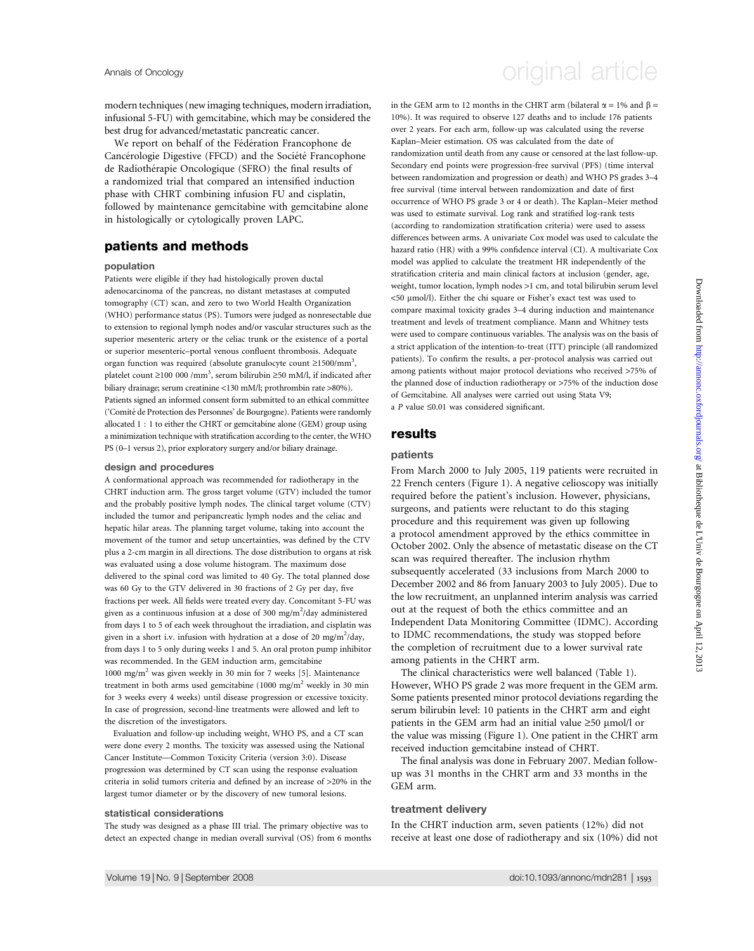Annals of Oncology **Annals of Oncology** original article

modern techniques (new imaging techniques, modern irradiation, infusional 5-FU) with gemcitabine, which may be considered the best drug for advanced/metastatic pancreatic cancer.

We report on behalf of the Fédération Francophone de Cancérologie Digestive (FFCD) and the Société Francophone de Radiothérapie Oncologique (SFRO) the final results of a randomized trial that compared an intensified induction phase with CHRT combining infusion FU and cisplatin, followed by maintenance gemcitabine with gemcitabine alone in histologically or cytologically proven LAPC.

## patients and methods

#### population

Patients were eligible if they had histologically proven ductal adenocarcinoma of the pancreas, no distant metastases at computed tomography (CT) scan, and zero to two World Health Organization (WHO) performance status (PS). Tumors were judged as nonresectable due to extension to regional lymph nodes and/or vascular structures such as the superior mesenteric artery or the celiac trunk or the existence of a portal or superior mesenteric–portal venous confluent thrombosis. Adequate organ function was required (absolute granulocyte count  $\geq$ 1500/mm<sup>3</sup>, platelet count ≥100 000 /mm<sup>3</sup>, serum bilirubin ≥50 mM/l, if indicated after biliary drainage; serum creatinine <130 mM/l; prothrombin rate >80%). Patients signed an informed consent form submitted to an ethical committee ('Comité de Protection des Personnes' de Bourgogne). Patients were randomly allocated 1 : 1 to either the CHRT or gemcitabine alone (GEM) group using a minimization technique with stratification according to the center, the WHO PS (0–1 versus 2), prior exploratory surgery and/or biliary drainage.

#### design and procedures

A conformational approach was recommended for radiotherapy in the CHRT induction arm. The gross target volume (GTV) included the tumor and the probably positive lymph nodes. The clinical target volume (CTV) included the tumor and peripancreatic lymph nodes and the celiac and hepatic hilar areas. The planning target volume, taking into account the movement of the tumor and setup uncertainties, was defined by the CTV plus a 2-cm margin in all directions. The dose distribution to organs at risk was evaluated using a dose volume histogram. The maximum dose delivered to the spinal cord was limited to 40 Gy. The total planned dose was 60 Gy to the GTV delivered in 30 fractions of 2 Gy per day, five fractions per week. All fields were treated every day. Concomitant 5-FU was given as a continuous infusion at a dose of 300 mg/m<sup>2</sup>/day administered from days 1 to 5 of each week throughout the irradiation, and cisplatin was given in a short i.v. infusion with hydration at a dose of 20 mg/m<sup>2</sup>/day, from days 1 to 5 only during weeks 1 and 5. An oral proton pump inhibitor was recommended. In the GEM induction arm, gemcitabine 1000 mg/m<sup>2</sup> was given weekly in 30 min for 7 weeks [5]. Maintenance treatment in both arms used gemcitabine (1000 mg/m<sup>2</sup> weekly in 30 min for 3 weeks every 4 weeks) until disease progression or excessive toxicity. In case of progression, second-line treatments were allowed and left to the discretion of the investigators.

Evaluation and follow-up including weight, WHO PS, and a CT scan were done every 2 months. The toxicity was assessed using the National Cancer Institute—Common Toxicity Criteria (version 3:0). Disease progression was determined by CT scan using the response evaluation criteria in solid tumors criteria and defined by an increase of >20% in the largest tumor diameter or by the discovery of new tumoral lesions.

#### statistical considerations

The study was designed as a phase III trial. The primary objective was to detect an expected change in median overall survival (OS) from 6 months in the GEM arm to 12 months in the CHRT arm (bilateral  $\alpha = 1\%$  and  $\beta =$ 10%). It was required to observe 127 deaths and to include 176 patients over 2 years. For each arm, follow-up was calculated using the reverse Kaplan–Meier estimation. OS was calculated from the date of randomization until death from any cause or censored at the last follow-up. Secondary end points were progression-free survival (PFS) (time interval between randomization and progression or death) and WHO PS grades 3–4 free survival (time interval between randomization and date of first occurrence of WHO PS grade 3 or 4 or death). The Kaplan–Meier method was used to estimate survival. Log rank and stratified log-rank tests (according to randomization stratification criteria) were used to assess differences between arms. A univariate Cox model was used to calculate the hazard ratio (HR) with a 99% confidence interval (CI). A multivariate Cox model was applied to calculate the treatment HR independently of the stratification criteria and main clinical factors at inclusion (gender, age, weight, tumor location, lymph nodes >1 cm, and total bilirubin serum level <50 lmol/l). Either the chi square or Fisher's exact test was used to compare maximal toxicity grades 3–4 during induction and maintenance treatment and levels of treatment compliance. Mann and Whitney tests were used to compare continuous variables. The analysis was on the basis of a strict application of the intention-to-treat (ITT) principle (all randomized patients). To confirm the results, a per-protocol analysis was carried out among patients without major protocol deviations who received >75% of the planned dose of induction radiotherapy or >75% of the induction dose of Gemcitabine. All analyses were carried out using Stata V9; a P value  $\leq 0.01$  was considered significant.

### results

#### patients

From March 2000 to July 2005, 119 patients were recruited in 22 French centers (Figure 1). A negative celioscopy was initially required before the patient's inclusion. However, physicians, surgeons, and patients were reluctant to do this staging procedure and this requirement was given up following a protocol amendment approved by the ethics committee in October 2002. Only the absence of metastatic disease on the CT scan was required thereafter. The inclusion rhythm subsequently accelerated (33 inclusions from March 2000 to December 2002 and 86 from January 2003 to July 2005). Due to the low recruitment, an unplanned interim analysis was carried out at the request of both the ethics committee and an Independent Data Monitoring Committee (IDMC). According to IDMC recommendations, the study was stopped before the completion of recruitment due to a lower survival rate among patients in the CHRT arm.

The clinical characteristics were well balanced (Table 1). However, WHO PS grade 2 was more frequent in the GEM arm. Some patients presented minor protocol deviations regarding the serum bilirubin level: 10 patients in the CHRT arm and eight patients in the GEM arm had an initial value  $\geq 50$  µmol/l or the value was missing (Figure 1). One patient in the CHRT arm received induction gemcitabine instead of CHRT.

The final analysis was done in February 2007. Median followup was 31 months in the CHRT arm and 33 months in the GEM arm.

#### treatment delivery

In the CHRT induction arm, seven patients (12%) did not receive at least one dose of radiotherapy and six (10%) did not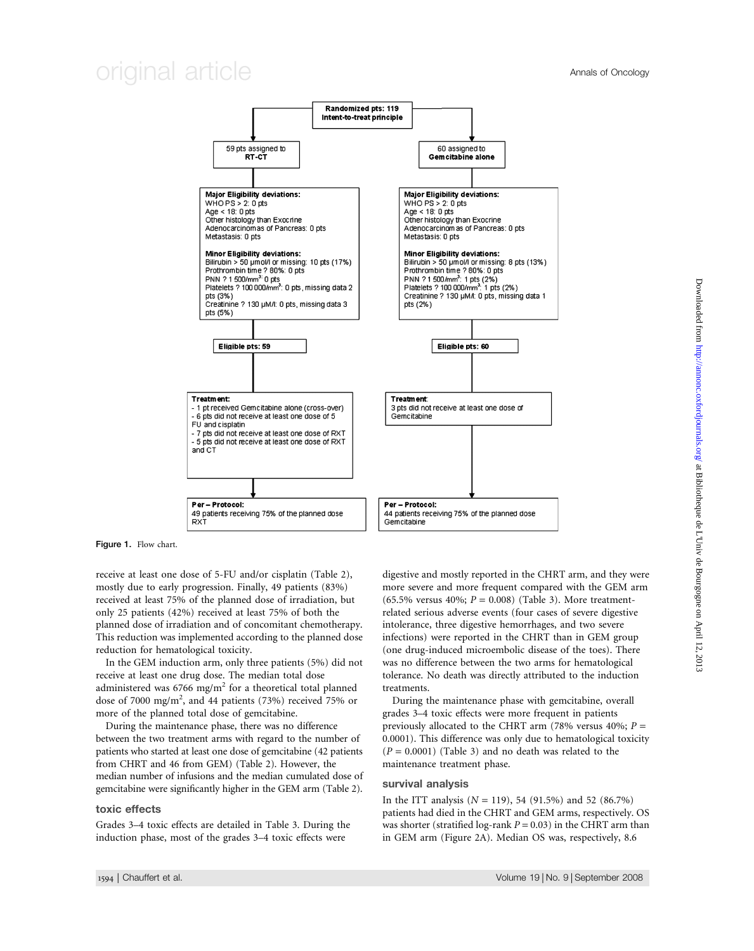## original article Annals of Oncology



Figure 1. Flow chart.

receive at least one dose of 5-FU and/or cisplatin (Table 2), mostly due to early progression. Finally, 49 patients (83%) received at least 75% of the planned dose of irradiation, but only 25 patients (42%) received at least 75% of both the planned dose of irradiation and of concomitant chemotherapy. This reduction was implemented according to the planned dose reduction for hematological toxicity.

In the GEM induction arm, only three patients (5%) did not receive at least one drug dose. The median total dose administered was 6766 mg/m<sup>2</sup> for a theoretical total planned dose of 7000 mg/m<sup>2</sup>, and 44 patients (73%) received 75% or more of the planned total dose of gemcitabine.

During the maintenance phase, there was no difference between the two treatment arms with regard to the number of patients who started at least one dose of gemcitabine (42 patients from CHRT and 46 from GEM) (Table 2). However, the median number of infusions and the median cumulated dose of gemcitabine were significantly higher in the GEM arm (Table 2).

#### toxic effects

Grades 3–4 toxic effects are detailed in Table 3. During the induction phase, most of the grades 3–4 toxic effects were

digestive and mostly reported in the CHRT arm, and they were more severe and more frequent compared with the GEM arm (65.5% versus 40%;  $P = 0.008$ ) (Table 3). More treatmentrelated serious adverse events (four cases of severe digestive intolerance, three digestive hemorrhages, and two severe infections) were reported in the CHRT than in GEM group (one drug-induced microembolic disease of the toes). There was no difference between the two arms for hematological tolerance. No death was directly attributed to the induction treatments.

During the maintenance phase with gemcitabine, overall grades 3–4 toxic effects were more frequent in patients previously allocated to the CHRT arm (78% versus 40%;  $P =$ 0.0001). This difference was only due to hematological toxicity  $(P = 0.0001)$  (Table 3) and no death was related to the maintenance treatment phase.

#### survival analysis

In the ITT analysis  $(N = 119)$ , 54 (91.5%) and 52 (86.7%) patients had died in the CHRT and GEM arms, respectively. OS was shorter (stratified log-rank  $P = 0.03$ ) in the CHRT arm than in GEM arm (Figure 2A). Median OS was, respectively, 8.6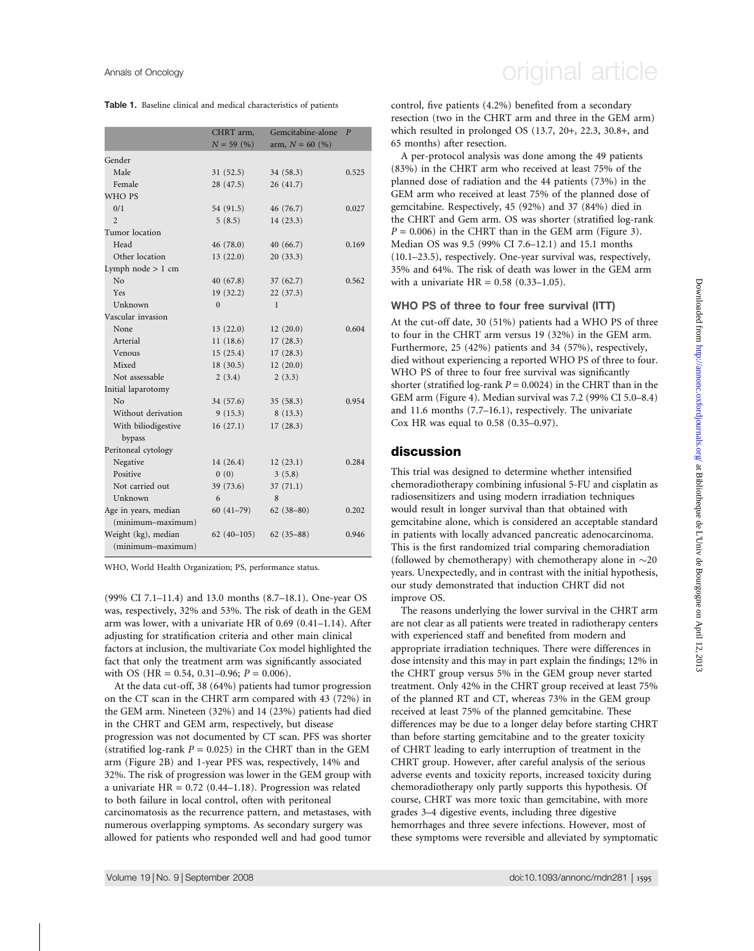Table 1. Baseline clinical and medical characteristics of patients

|                      | CHRT arm,<br>$N = 59(%)$ | Gemcitabine-alone<br>arm, $N = 60$ (%) | $\overline{P}$ |
|----------------------|--------------------------|----------------------------------------|----------------|
| Gender               |                          |                                        |                |
| Male                 | 31(52.5)                 | 34(58.3)                               | 0.525          |
| Female               | 28(47.5)                 | 26(41.7)                               |                |
| WHO PS               |                          |                                        |                |
| 0/1                  | 54 (91.5)                | 46 (76.7)                              | 0.027          |
| $\mathfrak{D}$       | 5(8.5)                   | 14(23.3)                               |                |
| Tumor location       |                          |                                        |                |
| Head                 | 46(78.0)                 | 40(66.7)                               | 0.169          |
| Other location       | 13(22.0)                 | 20(33.3)                               |                |
| Lymph node $> 1$ cm  |                          |                                        |                |
| No                   | 40(67.8)                 | 37(62.7)                               | 0.562          |
| Yes                  | 19(32.2)                 | 22(37.3)                               |                |
| Unknown              | $\theta$                 | $\mathbf{1}$                           |                |
| Vascular invasion    |                          |                                        |                |
| None                 | 13(22.0)                 | 12(20.0)                               | 0.604          |
| Arterial             | 11(18.6)                 | 17(28.3)                               |                |
| Venous               | 15(25.4)                 | 17(28.3)                               |                |
| Mixed                | 18(30.5)                 | 12(20.0)                               |                |
| Not assessable       | 2(3.4)                   | 2(3.3)                                 |                |
| Initial laparotomy   |                          |                                        |                |
| No                   | 34 (57.6)                | 35(58.3)                               | 0.954          |
| Without derivation   | 9(15.3)                  | 8(13.3)                                |                |
| With biliodigestive  | 16(27.1)                 | 17(28.3)                               |                |
| bypass               |                          |                                        |                |
| Peritoneal cytology  |                          |                                        |                |
| Negative             | 14(26.4)                 | 12(23.1)                               | 0.284          |
| Positive             | 0(0)                     | 3(5.8)                                 |                |
| Not carried out      | 39 (73.6)                | 37(71.1)                               |                |
| Unknown              | 6                        | 8                                      |                |
| Age in years, median | $60(41-79)$              | $62(38-80)$                            | 0.202          |
| (minimum-maximum)    |                          |                                        |                |
| Weight (kg), median  | $62(40-105)$             | $62(35-88)$                            | 0.946          |
| (minimum-maximum)    |                          |                                        |                |

WHO, World Health Organization; PS, performance status.

(99% CI 7.1–11.4) and 13.0 months (8.7–18.1). One-year OS was, respectively, 32% and 53%. The risk of death in the GEM arm was lower, with a univariate HR of 0.69 (0.41–1.14). After adjusting for stratification criteria and other main clinical factors at inclusion, the multivariate Cox model highlighted the fact that only the treatment arm was significantly associated with OS (HR = 0.54, 0.31–0.96;  $P = 0.006$ ).

At the data cut-off, 38 (64%) patients had tumor progression on the CT scan in the CHRT arm compared with 43 (72%) in the GEM arm. Nineteen (32%) and 14 (23%) patients had died in the CHRT and GEM arm, respectively, but disease progression was not documented by CT scan. PFS was shorter (stratified log-rank  $P = 0.025$ ) in the CHRT than in the GEM arm (Figure 2B) and 1-year PFS was, respectively, 14% and 32%. The risk of progression was lower in the GEM group with a univariate  $HR = 0.72$  (0.44-1.18). Progression was related to both failure in local control, often with peritoneal carcinomatosis as the recurrence pattern, and metastases, with numerous overlapping symptoms. As secondary surgery was allowed for patients who responded well and had good tumor

## Annals of Oncology **Annals of Oncology** original article

control, five patients (4.2%) benefited from a secondary resection (two in the CHRT arm and three in the GEM arm) which resulted in prolonged OS (13.7, 20+, 22.3, 30.8+, and 65 months) after resection.

A per-protocol analysis was done among the 49 patients (83%) in the CHRT arm who received at least 75% of the planned dose of radiation and the 44 patients (73%) in the GEM arm who received at least 75% of the planned dose of gemcitabine. Respectively, 45 (92%) and 37 (84%) died in the CHRT and Gem arm. OS was shorter (stratified log-rank  $P = 0.006$ ) in the CHRT than in the GEM arm (Figure 3). Median OS was 9.5 (99% CI 7.6–12.1) and 15.1 months (10.1–23.5), respectively. One-year survival was, respectively, 35% and 64%. The risk of death was lower in the GEM arm with a univariate  $HR = 0.58$  (0.33–1.05).

### WHO PS of three to four free survival (ITT)

At the cut-off date, 30 (51%) patients had a WHO PS of three to four in the CHRT arm versus 19 (32%) in the GEM arm. Furthermore, 25 (42%) patients and 34 (57%), respectively, died without experiencing a reported WHO PS of three to four. WHO PS of three to four free survival was significantly shorter (stratified log-rank  $P = 0.0024$ ) in the CHRT than in the GEM arm (Figure 4). Median survival was 7.2 (99% CI 5.0–8.4) and 11.6 months (7.7–16.1), respectively. The univariate Cox HR was equal to 0.58 (0.35–0.97).

## discussion

This trial was designed to determine whether intensified chemoradiotherapy combining infusional 5-FU and cisplatin as radiosensitizers and using modern irradiation techniques would result in longer survival than that obtained with gemcitabine alone, which is considered an acceptable standard in patients with locally advanced pancreatic adenocarcinoma. This is the first randomized trial comparing chemoradiation (followed by chemotherapy) with chemotherapy alone in  $\sim$ 20 years. Unexpectedly, and in contrast with the initial hypothesis, our study demonstrated that induction CHRT did not improve OS.

The reasons underlying the lower survival in the CHRT arm are not clear as all patients were treated in radiotherapy centers with experienced staff and benefited from modern and appropriate irradiation techniques. There were differences in dose intensity and this may in part explain the findings; 12% in the CHRT group versus 5% in the GEM group never started treatment. Only 42% in the CHRT group received at least 75% of the planned RT and CT, whereas 73% in the GEM group received at least 75% of the planned gemcitabine. These differences may be due to a longer delay before starting CHRT than before starting gemcitabine and to the greater toxicity of CHRT leading to early interruption of treatment in the CHRT group. However, after careful analysis of the serious adverse events and toxicity reports, increased toxicity during chemoradiotherapy only partly supports this hypothesis. Of course, CHRT was more toxic than gemcitabine, with more grades 3–4 digestive events, including three digestive hemorrhages and three severe infections. However, most of these symptoms were reversible and alleviated by symptomatic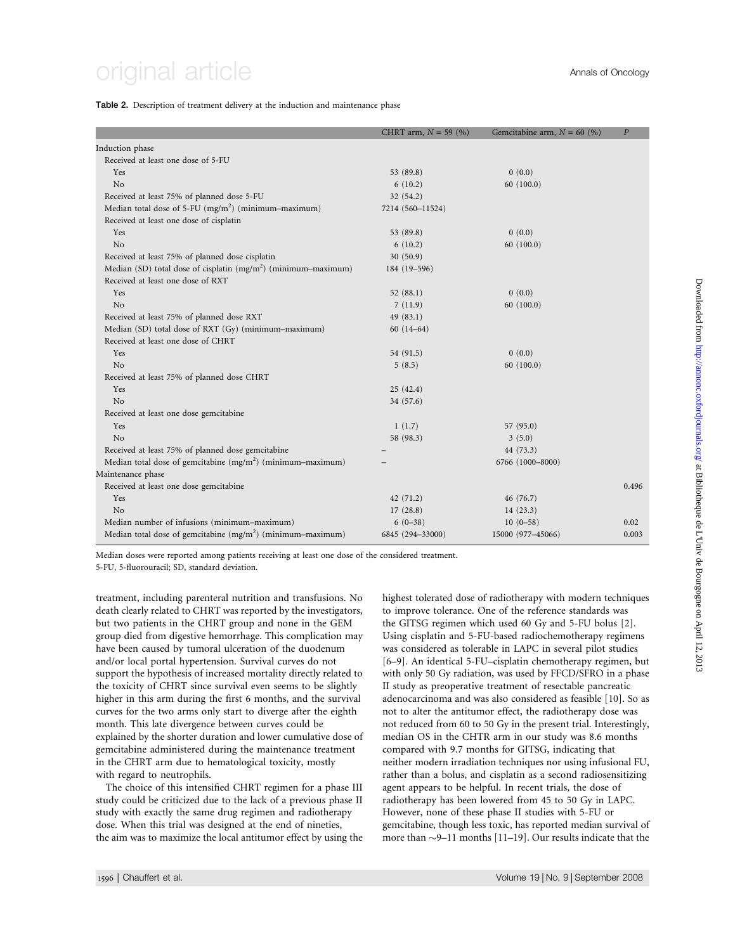#### Table 2. Description of treatment delivery at the induction and maintenance phase

|                                                                  | CHRT arm, $N = 59$ (%) | Gemcitabine arm, $N = 60$ (%) | $\overline{P}$ |
|------------------------------------------------------------------|------------------------|-------------------------------|----------------|
| Induction phase                                                  |                        |                               |                |
| Received at least one dose of 5-FU                               |                        |                               |                |
| Yes                                                              | 53 (89.8)              | 0(0.0)                        |                |
| No                                                               | 6(10.2)                | 60(100.0)                     |                |
| Received at least 75% of planned dose 5-FU                       | 32(54.2)               |                               |                |
| Median total dose of 5-FU (mg/m <sup>2</sup> ) (minimum-maximum) | 7214 (560-11524)       |                               |                |
| Received at least one dose of cisplatin                          |                        |                               |                |
| Yes                                                              | 53 (89.8)              | 0(0.0)                        |                |
| No                                                               | 6(10.2)                | 60(100.0)                     |                |
| Received at least 75% of planned dose cisplatin                  | 30(50.9)               |                               |                |
| Median (SD) total dose of cisplatin $(mg/m2)$ (minimum–maximum)  | 184 (19-596)           |                               |                |
| Received at least one dose of RXT                                |                        |                               |                |
| Yes                                                              | 52 $(88.1)$            | 0(0.0)                        |                |
| No                                                               | 7(11.9)                | 60(100.0)                     |                |
| Received at least 75% of planned dose RXT                        | 49(83.1)               |                               |                |
| Median (SD) total dose of RXT (Gy) (minimum-maximum)             | $60(14-64)$            |                               |                |
| Received at least one dose of CHRT                               |                        |                               |                |
| Yes                                                              | 54 (91.5)              | 0(0.0)                        |                |
| N <sub>o</sub>                                                   | 5(8.5)                 | 60(100.0)                     |                |
| Received at least 75% of planned dose CHRT                       |                        |                               |                |
| Yes                                                              | 25(42.4)               |                               |                |
| No                                                               | 34 (57.6)              |                               |                |
| Received at least one dose gemcitabine                           |                        |                               |                |
| Yes                                                              | 1(1.7)                 | 57(95.0)                      |                |
| N <sub>o</sub>                                                   | 58 (98.3)              | 3(5.0)                        |                |
| Received at least 75% of planned dose gemcitabine                |                        | 44 (73.3)                     |                |
| Median total dose of gemcitabine $(mg/m^2)$ (minimum-maximum)    |                        | 6766 (1000-8000)              |                |
| Maintenance phase                                                |                        |                               |                |
| Received at least one dose gemcitabine                           |                        |                               | 0.496          |
| Yes                                                              | 42(71.2)               | 46(76.7)                      |                |
| No                                                               | 17(28.8)               | 14(23.3)                      |                |
| Median number of infusions (minimum-maximum)                     | $6(0-38)$              | $10(0-58)$                    | 0.02           |
| Median total dose of gemcitabine $(mg/m^2)$ (minimum-maximum)    | 6845 (294-33000)       | 15000 (977-45066)             | 0.003          |

Median doses were reported among patients receiving at least one dose of the considered treatment.

5-FU, 5-fluorouracil; SD, standard deviation.

treatment, including parenteral nutrition and transfusions. No death clearly related to CHRT was reported by the investigators, but two patients in the CHRT group and none in the GEM group died from digestive hemorrhage. This complication may have been caused by tumoral ulceration of the duodenum and/or local portal hypertension. Survival curves do not support the hypothesis of increased mortality directly related to the toxicity of CHRT since survival even seems to be slightly higher in this arm during the first 6 months, and the survival curves for the two arms only start to diverge after the eighth month. This late divergence between curves could be explained by the shorter duration and lower cumulative dose of gemcitabine administered during the maintenance treatment in the CHRT arm due to hematological toxicity, mostly with regard to neutrophils.

The choice of this intensified CHRT regimen for a phase III study could be criticized due to the lack of a previous phase II study with exactly the same drug regimen and radiotherapy dose. When this trial was designed at the end of nineties, the aim was to maximize the local antitumor effect by using the highest tolerated dose of radiotherapy with modern techniques to improve tolerance. One of the reference standards was the GITSG regimen which used 60 Gy and 5-FU bolus [2]. Using cisplatin and 5-FU-based radiochemotherapy regimens was considered as tolerable in LAPC in several pilot studies [6–9]. An identical 5-FU–cisplatin chemotherapy regimen, but with only 50 Gy radiation, was used by FFCD/SFRO in a phase II study as preoperative treatment of resectable pancreatic adenocarcinoma and was also considered as feasible [10]. So as not to alter the antitumor effect, the radiotherapy dose was not reduced from 60 to 50 Gy in the present trial. Interestingly, median OS in the CHTR arm in our study was 8.6 months compared with 9.7 months for GITSG, indicating that neither modern irradiation techniques nor using infusional FU, rather than a bolus, and cisplatin as a second radiosensitizing agent appears to be helpful. In recent trials, the dose of radiotherapy has been lowered from 45 to 50 Gy in LAPC. However, none of these phase II studies with 5-FU or gemcitabine, though less toxic, has reported median survival of more than  $\sim$ 9–11 months [11–19]. Our results indicate that the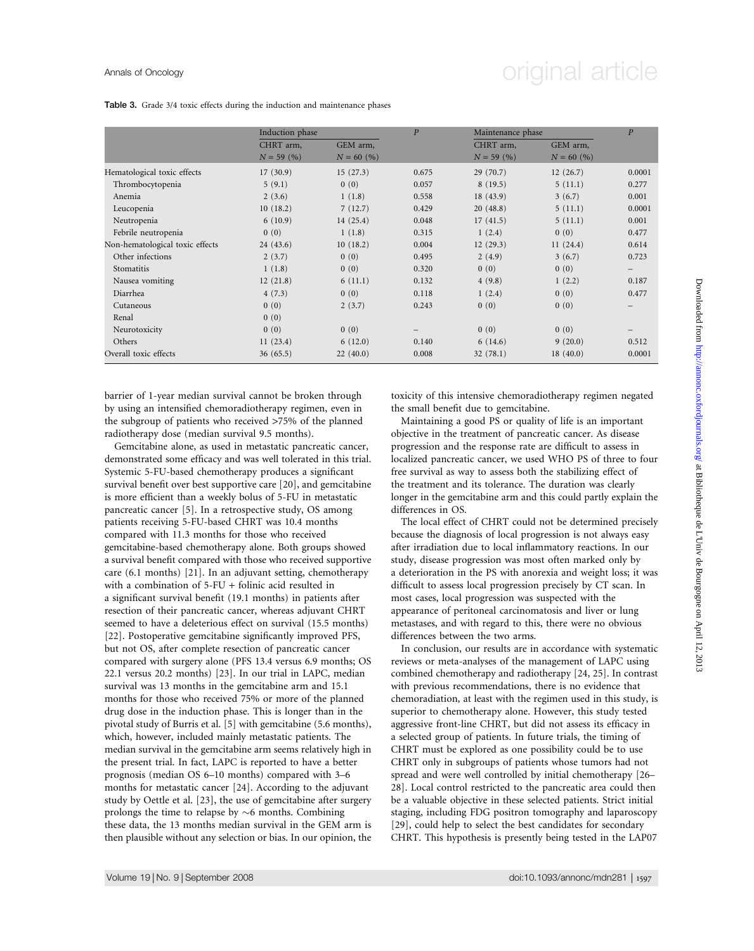## Annals of Oncology **Annals of Oncology** original article

Table 3. Grade 3/4 toxic effects during the induction and maintenance phases

|                                 | Induction phase |              | $\overline{P}$ |              | Maintenance phase |                          |
|---------------------------------|-----------------|--------------|----------------|--------------|-------------------|--------------------------|
|                                 | CHRT arm,       | GEM arm,     |                | CHRT arm,    | GEM arm,          |                          |
|                                 | $N = 59(%)$     | $N = 60$ (%) |                | $N = 59(96)$ | $N = 60$ (%)      |                          |
| Hematological toxic effects     | 17(30.9)        | 15(27.3)     | 0.675          | 29(70.7)     | 12(26.7)          | 0.0001                   |
| Thrombocytopenia                | 5(9.1)          | 0(0)         | 0.057          | 8(19.5)      | 5(11.1)           | 0.277                    |
| Anemia                          | 2(3.6)          | 1(1.8)       | 0.558          | 18(43.9)     | 3(6.7)            | 0.001                    |
| Leucopenia                      | 10(18.2)        | 7(12.7)      | 0.429          | 20(48.8)     | 5(11.1)           | 0.0001                   |
| Neutropenia                     | 6(10.9)         | 14(25.4)     | 0.048          | 17(41.5)     | 5(11.1)           | 0.001                    |
| Febrile neutropenia             | 0(0)            | 1(1.8)       | 0.315          | 1(2.4)       | 0(0)              | 0.477                    |
| Non-hematological toxic effects | 24(43.6)        | 10(18.2)     | 0.004          | 12(29.3)     | 11(24.4)          | 0.614                    |
| Other infections                | 2(3.7)          | 0(0)         | 0.495          | 2(4.9)       | 3(6.7)            | 0.723                    |
| Stomatitis                      | 1(1.8)          | 0(0)         | 0.320          | 0(0)         | 0(0)              | $\overline{\phantom{m}}$ |
| Nausea vomiting                 | 12(21.8)        | 6(11.1)      | 0.132          | 4(9.8)       | 1(2.2)            | 0.187                    |
| Diarrhea                        | 4(7.3)          | 0(0)         | 0.118          | 1(2.4)       | 0(0)              | 0.477                    |
| Cutaneous                       | 0(0)            | 2(3.7)       | 0.243          | 0(0)         | 0(0)              | —                        |
| Renal                           | 0(0)            |              |                |              |                   |                          |
| Neurotoxicity                   | 0(0)            | 0(0)         | -              | 0(0)         | 0(0)              |                          |
| Others                          | 11(23.4)        | 6(12.0)      | 0.140          | 6(14.6)      | 9(20.0)           | 0.512                    |
| Overall toxic effects           | 36(65.5)        | 22(40.0)     | 0.008          | 32(78.1)     | 18(40.0)          | 0.0001                   |

barrier of 1-year median survival cannot be broken through by using an intensified chemoradiotherapy regimen, even in the subgroup of patients who received >75% of the planned radiotherapy dose (median survival 9.5 months).

Gemcitabine alone, as used in metastatic pancreatic cancer, demonstrated some efficacy and was well tolerated in this trial. Systemic 5-FU-based chemotherapy produces a significant survival benefit over best supportive care [20], and gemcitabine is more efficient than a weekly bolus of 5-FU in metastatic pancreatic cancer [5]. In a retrospective study, OS among patients receiving 5-FU-based CHRT was 10.4 months compared with 11.3 months for those who received gemcitabine-based chemotherapy alone. Both groups showed a survival benefit compared with those who received supportive care (6.1 months) [21]. In an adjuvant setting, chemotherapy with a combination of 5-FU + folinic acid resulted in a significant survival benefit (19.1 months) in patients after resection of their pancreatic cancer, whereas adjuvant CHRT seemed to have a deleterious effect on survival (15.5 months) [22]. Postoperative gemcitabine significantly improved PFS, but not OS, after complete resection of pancreatic cancer compared with surgery alone (PFS 13.4 versus 6.9 months; OS 22.1 versus 20.2 months) [23]. In our trial in LAPC, median survival was 13 months in the gemcitabine arm and 15.1 months for those who received 75% or more of the planned drug dose in the induction phase. This is longer than in the pivotal study of Burris et al. [5] with gemcitabine (5.6 months), which, however, included mainly metastatic patients. The median survival in the gemcitabine arm seems relatively high in the present trial. In fact, LAPC is reported to have a better prognosis (median OS 6–10 months) compared with 3–6 months for metastatic cancer [24]. According to the adjuvant study by Oettle et al. [23], the use of gemcitabine after surgery prolongs the time to relapse by  $\sim$ 6 months. Combining these data, the 13 months median survival in the GEM arm is then plausible without any selection or bias. In our opinion, the toxicity of this intensive chemoradiotherapy regimen negated the small benefit due to gemcitabine.

Maintaining a good PS or quality of life is an important objective in the treatment of pancreatic cancer. As disease progression and the response rate are difficult to assess in localized pancreatic cancer, we used WHO PS of three to four free survival as way to assess both the stabilizing effect of the treatment and its tolerance. The duration was clearly longer in the gemcitabine arm and this could partly explain the differences in OS.

The local effect of CHRT could not be determined precisely because the diagnosis of local progression is not always easy after irradiation due to local inflammatory reactions. In our study, disease progression was most often marked only by a deterioration in the PS with anorexia and weight loss; it was difficult to assess local progression precisely by CT scan. In most cases, local progression was suspected with the appearance of peritoneal carcinomatosis and liver or lung metastases, and with regard to this, there were no obvious differences between the two arms.

In conclusion, our results are in accordance with systematic reviews or meta-analyses of the management of LAPC using combined chemotherapy and radiotherapy [24, 25]. In contrast with previous recommendations, there is no evidence that chemoradiation, at least with the regimen used in this study, is superior to chemotherapy alone. However, this study tested aggressive front-line CHRT, but did not assess its efficacy in a selected group of patients. In future trials, the timing of CHRT must be explored as one possibility could be to use CHRT only in subgroups of patients whose tumors had not spread and were well controlled by initial chemotherapy [26– 28]. Local control restricted to the pancreatic area could then be a valuable objective in these selected patients. Strict initial staging, including FDG positron tomography and laparoscopy [29], could help to select the best candidates for secondary CHRT. This hypothesis is presently being tested in the LAP07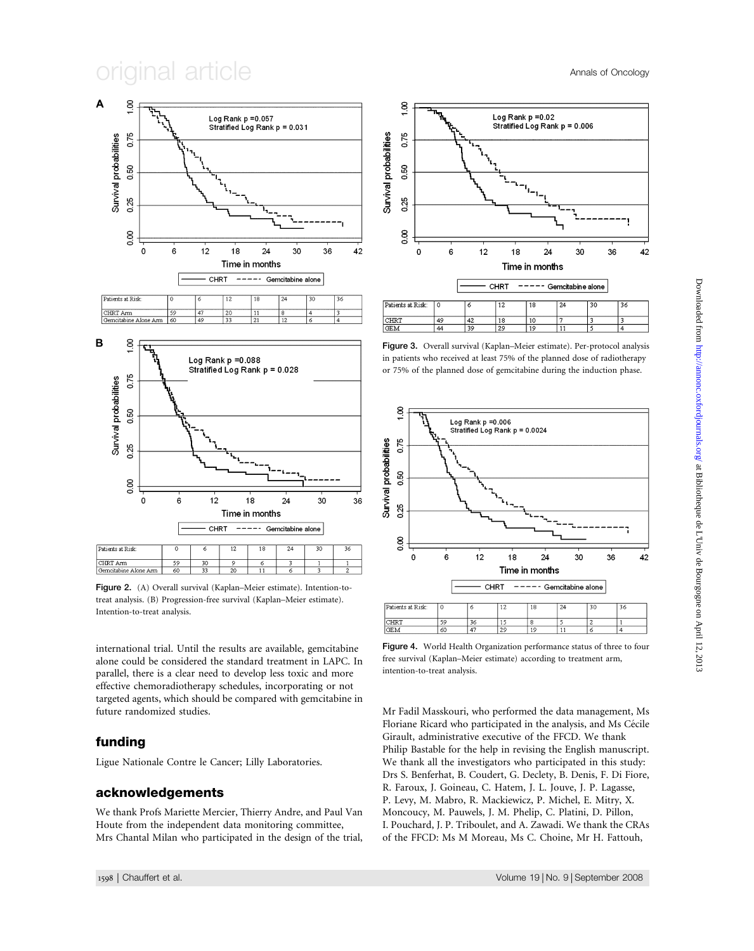$i$ qinal article  $A$ nnals of Oncology



Figure 2. (A) Overall survival (Kaplan–Meier estimate). Intention-totreat analysis. (B) Progression-free survival (Kaplan–Meier estimate). Intention-to-treat analysis.

international trial. Until the results are available, gemcitabine alone could be considered the standard treatment in LAPC. In parallel, there is a clear need to develop less toxic and more effective chemoradiotherapy schedules, incorporating or not targeted agents, which should be compared with gemcitabine in future randomized studies.

### funding

Ligue Nationale Contre le Cancer; Lilly Laboratories.

## acknowledgements

We thank Profs Mariette Mercier, Thierry Andre, and Paul Van Houte from the independent data monitoring committee, Mrs Chantal Milan who participated in the design of the trial,



| Patients at Risk: |    | r  | $\sim$ | 18 | 24 | 30 | 36 |
|-------------------|----|----|--------|----|----|----|----|
| CHRT              | 49 | 42 | 8.     | 10 |    |    |    |
| <b>GEM</b>        | 44 | 30 | 29     | 19 |    |    |    |
|                   |    |    |        |    |    |    |    |

Figure 3. Overall survival (Kaplan–Meier estimate). Per-protocol analysis in patients who received at least 75% of the planned dose of radiotherapy or 75% of the planned dose of gemcitabine during the induction phase.



Figure 4. World Health Organization performance status of three to four free survival (Kaplan–Meier estimate) according to treatment arm, intention-to-treat analysis.

Mr Fadil Masskouri, who performed the data management, Ms Floriane Ricard who participated in the analysis, and Ms Cécile Girault, administrative executive of the FFCD. We thank Philip Bastable for the help in revising the English manuscript. We thank all the investigators who participated in this study: Drs S. Benferhat, B. Coudert, G. Declety, B. Denis, F. Di Fiore, R. Faroux, J. Goineau, C. Hatem, J. L. Jouve, J. P. Lagasse, P. Levy, M. Mabro, R. Mackiewicz, P. Michel, E. Mitry, X. Moncoucy, M. Pauwels, J. M. Phelip, C. Platini, D. Pillon, I. Pouchard, J. P. Triboulet, and A. Zawadi. We thank the CRAs of the FFCD: Ms M Moreau, Ms C. Choine, Mr H. Fattouh,